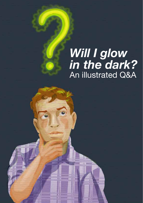# *Will I glow in the dark?* An illustrated Q&A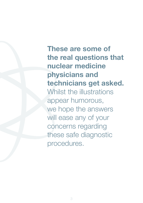**These are some of the real questions that nuclear medicine physicians and technicians get asked.** Whilst the illustrations appear humorous, we hope the answers will ease any of your concerns regarding these safe diagnostic procedures.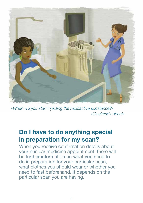

*«When will you start injecting the radioactive substance?» «It's already done!»*

# **Do I have to do anything special in preparation for my scan?**

When you receive confirmation details about your nuclear medicine appointment, there will be further information on what you need to do in preparation for your particular scan, what clothes you should wear or whether you need to fast beforehand. It depends on the particular scan you are having.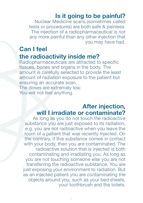#### **Is it going to be painful?**

Nuclear Medicine scans (sometimes called tests or procedures) are both safe & painless. The injection of a radiopharmaceutical is not any more painful than any other injection that you may have had.

#### **Can I feel the radioactivity inside me?**

Radiopharmaceuticals are attracted to specific tissues, bones and organs in the body. The amount is carefully selected to provide the least amount of radiation exposure to the patient but ensuring an accurate scan. The doses are extremely low.

You will not feel anything.

#### **After injection, will I irradiate or contaminate?**

As long as you do not touch the radioactive substance you are just exposed to its radiation, e.g. you are not radioactive when you leave the room of a patient that was recently injected. On the contrary, if this substance comes in contact with your body, then you are contaminated. The radioactive solution that is injected is both contaminating and irradiating you. As long as you are not touching someone else you are not transferring the radioactive substance. You are just exposing your environment to radiation. But as an injected patient you are contaminating the objects around you, such as your bed sheets, your toothbrush and the toilets.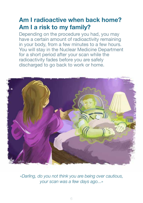# **Am I radioactive when back home? Am I a risk to my family?**

Depending on the procedure you had, you may have a certain amount of radioactivity remaining in your body, from a few minutes to a few hours. You will stay in the Nuclear Medicine Department for a short period after your scan while the radioactivity fades before you are safely discharged to go back to work or home.



*«Darling, do you not think you are being over cautious, your scan was a few days ago...»*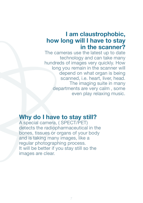#### **I am claustrophobic, how long will I have to stay in the scanner?**

The cameras use the latest up to date technology and can take many hundreds of images very quickly. How long you remain in the scanner will depend on what organ is being scanned, i.e. heart, liver, head. The imaging suite in many departments are very calm , some even play relaxing music.

# **Why do I have to stay still?**

A special camera, ( SPECT/PET) detects the radiopharmaceutical in the bones, tissues or organs of your body and is taking many images, like a regular photographing process. It will be better if you stay still so the images are clear.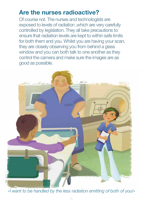# **Are the nurses radioactive?**

Of course not. The nurses and technologists are exposed to levels of radiation ,which are very carefully controlled by legislation. They all take precautions to ensure that radiation levels are kept to within safe limits for both them and you. Whilst you are having your scan, they are closely observing you from behind a glass window and you can both talk to one another as they control the camera and make sure the images are as good as possible.



*«I want to be handled by the less radiation emitting of both of you!»*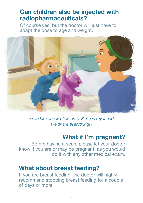# **Can children also be injected with radiopharmaceuticals?**

Of course yes, but the doctor will just have to adapt the dose to age and weight.



*«Give him an injection as well, he is my friend, we share everything!»*

# **What if I'm pregnant?**

Before having a scan, please let your doctor know if you are or may be pregnant, as you would do it with any other medical exam.

#### **What about breast feeding?**

If you are breast feeding, the doctor will highly recommend stopping breast feeding for a couple of days or more.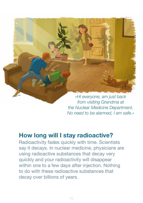

*from visiting Grandma at the Nuclear Medicine Department. No need to be alarmed, I am safe.»*

# **How long will I stay radioactive?**

Radioactivity fades quickly with time. Scientists say it decays. In nuclear medicine, physicians are using radioactive substances that decay very quickly and your radioactivity will disappear within one to a few days after injection. Nothing to do with these radioactive substances that decay over billions of years.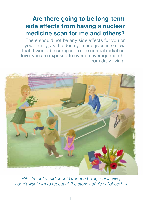# **Are there going to be long-term side effects from having a nuclear medicine scan for me and others?**

There should not be any side effects for you or your family, as the dose you are given is so low that it would be compare to the normal radiation level you are exposed to over an average month, from daily living.



*«No I'm not afraid about Grandpa being radioactive, I don't want him to repeat all the stories of his childhood...»*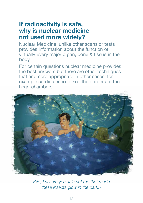# **If radioactivity is safe, why is nuclear medicine not used more widely?**

Nuclear Medicine, unlike other scans or tests provides information about the function of virtually every major organ, bone & tissue in the body.

For certain questions nuclear medicine provides the best answers but there are other techniques that are more appropriate in other cases, for example cardiac echo to see the borders of the heart chambers.



*«No, I assure you. It is not me that made these insects glow in the dark.»*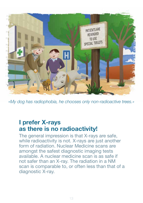

*«My dog has radiophobia, he chooses only non-radioactive trees.»*

#### **I prefer X-rays as there is no radioactivity!**

The general impression is that X-rays are safe, while radioactivity is not. X-rays are just another form of radiation. Nuclear Medicine scans are amongst the safest diagnostic imaging tests available. A nuclear medicine scan is as safe if not safer than an X-ray. The radiation in a NM scan is comparable to, or often less than that of a diagnostic X-ray.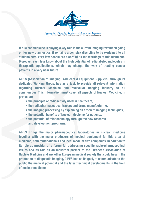

**If Nuclear Medicine is playing a key role in the current imaging revolution going on for new diagnostics, it remains a complex discipline to be explained to all stakeholders. Very few people are aware of all the workings of this technique. Moreover, even less know about the high potential of radiolabeled molecules in therapeutic applications, which may change the way of treating cancer patients in a very near future.**

**AIPES (Association of Imaging Producers & Equipment Suppliers), through its dedicated Working Group, has as a task to provide all relevant information regarding Nuclear Medicine and Molecular Imaging industry to all communities. This information must cover all aspects of Nuclear Medicine, in particular:**

- **the principle of radioactivity used in healthcare,**
- **the radiopharmaceutical tracers and drugs manufacturing,**
- **the imaging processing by explaining all different imaging techniques,**
- **the potential benefits of Nuclear Medicine for patients,**
- **the potential of this technology through the new research and development programs.**

**AIPES brings the major pharmaceutical laboratories in nuclear medicine together with the major producers of medical equipment for this area of medicine, both multinationals and local medium size companies. In addition to its role as provider of a forum for addressing specific radio-pharmaceutical issues and its role as an industrial partner to the European Association of Nuclear Medicine and any other European medical society that could help in the promotion of diagnostic imaging, AIPES has as its goal, to communicate to the public the medical potential and the latest technical developments in the field of nuclear medicine.**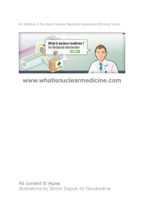An initiative of the Aipes Nuclear Medicine Awareness Working Group.



# **www.whatisnuclearmedicine.com**

All content © Aipes Illustrations by Simon Dupuis for Navalorama